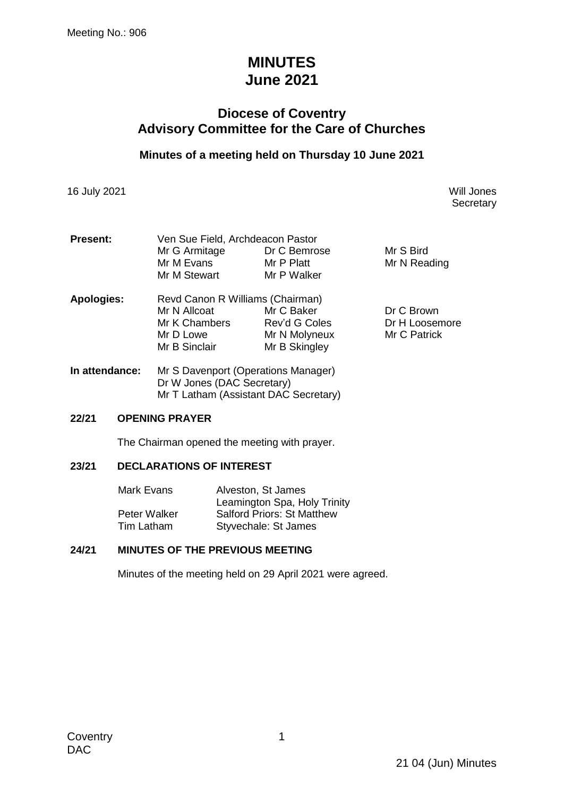# **MINUTES June 2021**

# **Diocese of Coventry Advisory Committee for the Care of Churches**

# **Minutes of a meeting held on Thursday 10 June 2021**

16 July 2021 Will Jones

**Secretary** 

| <b>Present:</b> | Ven Sue Field, Archdeacon Pastor    |               |                |  |
|-----------------|-------------------------------------|---------------|----------------|--|
|                 | Mr G Armitage                       | Dr C Bemrose  | Mr S Bird      |  |
|                 | Mr M Evans                          | Mr P Platt    | Mr N Reading   |  |
|                 | Mr M Stewart                        | Mr P Walker   |                |  |
| Apologies:      | Revd Canon R Williams (Chairman)    |               |                |  |
|                 | Mr N Allcoat                        | Mr C Baker    | Dr C Brown     |  |
|                 | Mr K Chambers                       | Rev'd G Coles | Dr H Loosemore |  |
|                 | Mr D Lowe                           | Mr N Molyneux | Mr C Patrick   |  |
|                 | Mr B Sinclair                       | Mr B Skingley |                |  |
| In attendance:  | Mr S Davenport (Operations Manager) |               |                |  |

Dr W Jones (DAC Secretary) Mr T Latham (Assistant DAC Secretary)

#### **22/21 OPENING PRAYER**

The Chairman opened the meeting with prayer.

#### **23/21 DECLARATIONS OF INTEREST**

| Mark Evans   | Alveston, St James                |
|--------------|-----------------------------------|
|              | Leamington Spa, Holy Trinity      |
| Peter Walker | <b>Salford Priors: St Matthew</b> |
| Tim Latham   | Styvechale: St James              |

#### **24/21 MINUTES OF THE PREVIOUS MEETING**

Minutes of the meeting held on 29 April 2021 were agreed.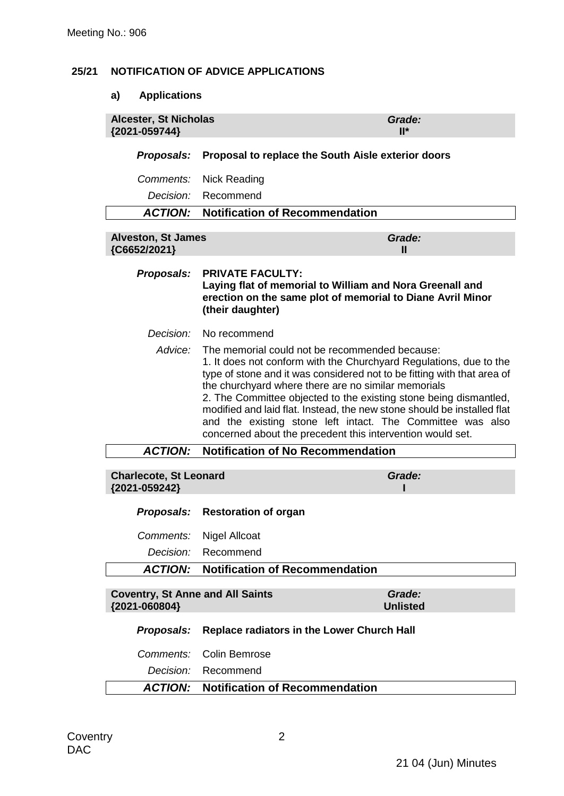# **25/21 NOTIFICATION OF ADVICE APPLICATIONS**

# **a) Applications**

| <b>Alcester, St Nicholas</b><br>{2021-059744}            |                                                                                                                                                                                                                                                                                                                                                                                                                                                                                                                                    | Grade:<br>$II^*$          |
|----------------------------------------------------------|------------------------------------------------------------------------------------------------------------------------------------------------------------------------------------------------------------------------------------------------------------------------------------------------------------------------------------------------------------------------------------------------------------------------------------------------------------------------------------------------------------------------------------|---------------------------|
| Proposals:                                               | Proposal to replace the South Aisle exterior doors                                                                                                                                                                                                                                                                                                                                                                                                                                                                                 |                           |
| Comments:                                                | <b>Nick Reading</b>                                                                                                                                                                                                                                                                                                                                                                                                                                                                                                                |                           |
| Decision:                                                | Recommend                                                                                                                                                                                                                                                                                                                                                                                                                                                                                                                          |                           |
| <b>ACTION:</b>                                           | <b>Notification of Recommendation</b>                                                                                                                                                                                                                                                                                                                                                                                                                                                                                              |                           |
| <b>Alveston, St James</b><br>{C6652/2021}                |                                                                                                                                                                                                                                                                                                                                                                                                                                                                                                                                    | Grade:<br>"               |
| Proposals:                                               | <b>PRIVATE FACULTY:</b><br>Laying flat of memorial to William and Nora Greenall and<br>erection on the same plot of memorial to Diane Avril Minor<br>(their daughter)                                                                                                                                                                                                                                                                                                                                                              |                           |
| Decision:                                                | No recommend                                                                                                                                                                                                                                                                                                                                                                                                                                                                                                                       |                           |
| Advice:                                                  | The memorial could not be recommended because:<br>1. It does not conform with the Churchyard Regulations, due to the<br>type of stone and it was considered not to be fitting with that area of<br>the churchyard where there are no similar memorials<br>2. The Committee objected to the existing stone being dismantled,<br>modified and laid flat. Instead, the new stone should be installed flat<br>and the existing stone left intact. The Committee was also<br>concerned about the precedent this intervention would set. |                           |
| <b>ACTION:</b>                                           | <b>Notification of No Recommendation</b>                                                                                                                                                                                                                                                                                                                                                                                                                                                                                           |                           |
| <b>Charlecote, St Leonard</b><br>{2021-059242}           |                                                                                                                                                                                                                                                                                                                                                                                                                                                                                                                                    | Grade:                    |
| <b>Proposals:</b>                                        | <b>Restoration of organ</b>                                                                                                                                                                                                                                                                                                                                                                                                                                                                                                        |                           |
| Comments:                                                | <b>Nigel Allcoat</b>                                                                                                                                                                                                                                                                                                                                                                                                                                                                                                               |                           |
| Decision:                                                | Recommend                                                                                                                                                                                                                                                                                                                                                                                                                                                                                                                          |                           |
| <b>ACTION:</b>                                           | Notification of Recommendation                                                                                                                                                                                                                                                                                                                                                                                                                                                                                                     |                           |
| <b>Coventry, St Anne and All Saints</b><br>{2021-060804} |                                                                                                                                                                                                                                                                                                                                                                                                                                                                                                                                    | Grade:<br><b>Unlisted</b> |
| Proposals:                                               | <b>Replace radiators in the Lower Church Hall</b>                                                                                                                                                                                                                                                                                                                                                                                                                                                                                  |                           |
| Comments:                                                | <b>Colin Bemrose</b>                                                                                                                                                                                                                                                                                                                                                                                                                                                                                                               |                           |
| Decision:                                                | Recommend                                                                                                                                                                                                                                                                                                                                                                                                                                                                                                                          |                           |
| <b>ACTION:</b>                                           | <b>Notification of Recommendation</b>                                                                                                                                                                                                                                                                                                                                                                                                                                                                                              |                           |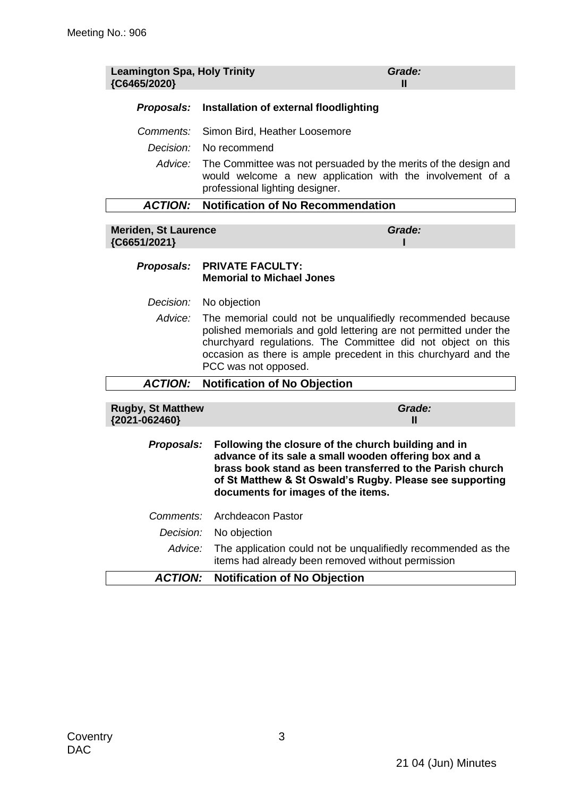| <b>Leamington Spa, Holy Trinity</b><br>{C6465/2020} |                                                                                                                                                                                                                                                                                             | Grade:<br>Ш                                                                                                                                                                                                                           |  |  |
|-----------------------------------------------------|---------------------------------------------------------------------------------------------------------------------------------------------------------------------------------------------------------------------------------------------------------------------------------------------|---------------------------------------------------------------------------------------------------------------------------------------------------------------------------------------------------------------------------------------|--|--|
| Proposals:                                          | Installation of external floodlighting                                                                                                                                                                                                                                                      |                                                                                                                                                                                                                                       |  |  |
| Comments:                                           |                                                                                                                                                                                                                                                                                             | Simon Bird, Heather Loosemore                                                                                                                                                                                                         |  |  |
| Decision:                                           | No recommend                                                                                                                                                                                                                                                                                |                                                                                                                                                                                                                                       |  |  |
| Advice:                                             |                                                                                                                                                                                                                                                                                             | The Committee was not persuaded by the merits of the design and<br>would welcome a new application with the involvement of a<br>professional lighting designer.                                                                       |  |  |
| <b>ACTION:</b>                                      | <b>Notification of No Recommendation</b>                                                                                                                                                                                                                                                    |                                                                                                                                                                                                                                       |  |  |
| <b>Meriden, St Laurence</b><br>{C6651/2021}         |                                                                                                                                                                                                                                                                                             | Grade:                                                                                                                                                                                                                                |  |  |
| Proposals:                                          | <b>PRIVATE FACULTY:</b><br><b>Memorial to Michael Jones</b>                                                                                                                                                                                                                                 |                                                                                                                                                                                                                                       |  |  |
| Decision:                                           | No objection                                                                                                                                                                                                                                                                                |                                                                                                                                                                                                                                       |  |  |
| Advice:                                             | The memorial could not be unqualifiedly recommended because<br>polished memorials and gold lettering are not permitted under the<br>churchyard regulations. The Committee did not object on this<br>occasion as there is ample precedent in this churchyard and the<br>PCC was not opposed. |                                                                                                                                                                                                                                       |  |  |
| <b>ACTION:</b>                                      | <b>Notification of No Objection</b>                                                                                                                                                                                                                                                         |                                                                                                                                                                                                                                       |  |  |
| <b>Rugby, St Matthew</b><br>{2021-062460}           |                                                                                                                                                                                                                                                                                             | Grade:<br>$\mathbf{I}$                                                                                                                                                                                                                |  |  |
| Proposals:                                          | documents for images of the items.                                                                                                                                                                                                                                                          | Following the closure of the church building and in<br>advance of its sale a small wooden offering box and a<br>brass book stand as been transferred to the Parish church<br>of St Matthew & St Oswald's Rugby. Please see supporting |  |  |
| Comments:                                           | <b>Archdeacon Pastor</b>                                                                                                                                                                                                                                                                    |                                                                                                                                                                                                                                       |  |  |
| Decision:                                           | No objection                                                                                                                                                                                                                                                                                |                                                                                                                                                                                                                                       |  |  |
| Advice:                                             |                                                                                                                                                                                                                                                                                             | The application could not be unqualifiedly recommended as the<br>items had already been removed without permission                                                                                                                    |  |  |
| <b>ACTION:</b>                                      | <b>Notification of No Objection</b>                                                                                                                                                                                                                                                         |                                                                                                                                                                                                                                       |  |  |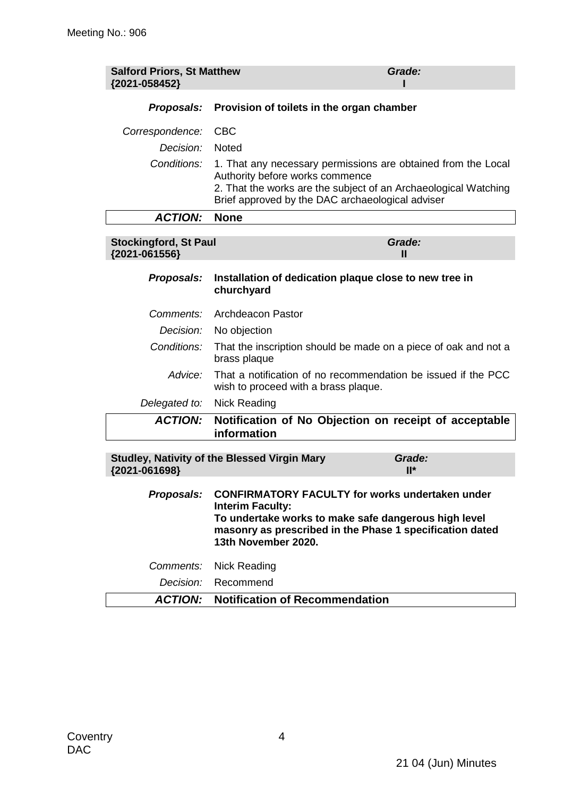| <b>Salford Priors, St Matthew</b><br>{2021-058452} |                                                                                                                                                                                                                              | Grade:        |
|----------------------------------------------------|------------------------------------------------------------------------------------------------------------------------------------------------------------------------------------------------------------------------------|---------------|
| Proposals:                                         | Provision of toilets in the organ chamber                                                                                                                                                                                    |               |
| Correspondence:                                    | <b>CBC</b>                                                                                                                                                                                                                   |               |
| Decision:                                          | <b>Noted</b>                                                                                                                                                                                                                 |               |
| Conditions:                                        | 1. That any necessary permissions are obtained from the Local<br>Authority before works commence<br>2. That the works are the subject of an Archaeological Watching<br>Brief approved by the DAC archaeological adviser      |               |
| <b>ACTION:</b>                                     | <b>None</b>                                                                                                                                                                                                                  |               |
| <b>Stockingford, St Paul</b><br>{2021-061556}      |                                                                                                                                                                                                                              | Grade:<br>Ш   |
| Proposals:                                         | Installation of dedication plaque close to new tree in<br>churchyard                                                                                                                                                         |               |
| <i>Comments:</i>                                   | <b>Archdeacon Pastor</b>                                                                                                                                                                                                     |               |
| Decision:                                          | No objection                                                                                                                                                                                                                 |               |
| Conditions:                                        | That the inscription should be made on a piece of oak and not a<br>brass plaque                                                                                                                                              |               |
| Advice:                                            | That a notification of no recommendation be issued if the PCC<br>wish to proceed with a brass plaque.                                                                                                                        |               |
| Delegated to:                                      | <b>Nick Reading</b>                                                                                                                                                                                                          |               |
| <b>ACTION:</b>                                     | Notification of No Objection on receipt of acceptable<br>information                                                                                                                                                         |               |
| {2021-061698}                                      | <b>Studley, Nativity of the Blessed Virgin Mary</b>                                                                                                                                                                          | Grade:<br>ll* |
| Proposals:                                         | <b>CONFIRMATORY FACULTY for works undertaken under</b><br><b>Interim Faculty:</b><br>To undertake works to make safe dangerous high level<br>masonry as prescribed in the Phase 1 specification dated<br>13th November 2020. |               |
| Comments:                                          | <b>Nick Reading</b>                                                                                                                                                                                                          |               |
| Decision:                                          | Recommend                                                                                                                                                                                                                    |               |

*ACTION:* **Notification of Recommendation**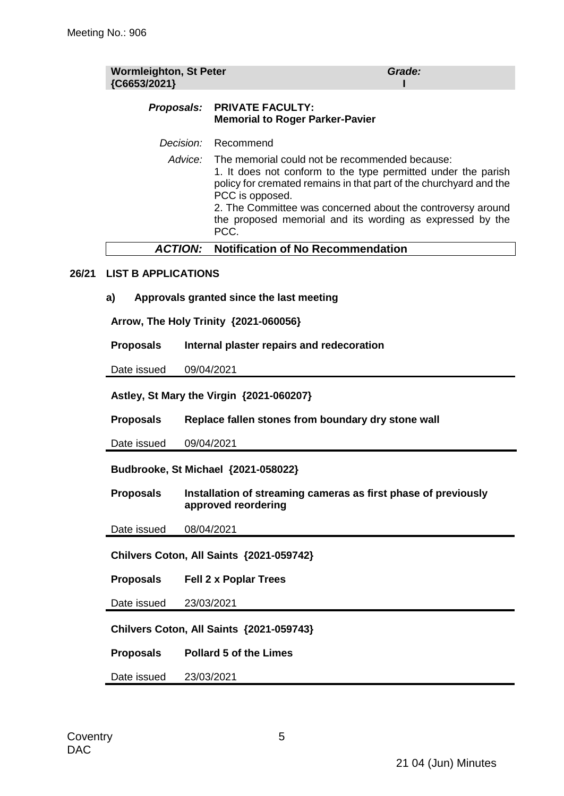| <b>Wormleighton, St Peter</b><br>{C6653/2021} | Grade:                                                                                                                                                                                                                                                                                                                                               |
|-----------------------------------------------|------------------------------------------------------------------------------------------------------------------------------------------------------------------------------------------------------------------------------------------------------------------------------------------------------------------------------------------------------|
|                                               | Proposals: PRIVATE FACULTY:<br><b>Memorial to Roger Parker-Pavier</b>                                                                                                                                                                                                                                                                                |
| Decision:                                     | Recommend                                                                                                                                                                                                                                                                                                                                            |
|                                               | Advice: The memorial could not be recommended because:<br>1. It does not conform to the type permitted under the parish<br>policy for cremated remains in that part of the churchyard and the<br>PCC is opposed.<br>2. The Committee was concerned about the controversy around<br>the proposed memorial and its wording as expressed by the<br>PCC. |
|                                               | <b>ACTION:</b> Notification of No Recommendation                                                                                                                                                                                                                                                                                                     |
|                                               |                                                                                                                                                                                                                                                                                                                                                      |

#### **26/21 LIST B APPLICATIONS**

**a) Approvals granted since the last meeting**

**Arrow, The Holy Trinity {2021-060056}**

**Proposals Internal plaster repairs and redecoration**

Date issued 09/04/2021

**Astley, St Mary the Virgin {2021-060207}**

**Proposals Replace fallen stones from boundary dry stone wall**

Date issued 09/04/2021

**Budbrooke, St Michael {2021-058022}**

**Proposals Installation of streaming cameras as first phase of previously approved reordering**

Date issued 08/04/2021

**Chilvers Coton, All Saints {2021-059742}**

**Proposals Fell 2 x Poplar Trees**

Date issued 23/03/2021

**Chilvers Coton, All Saints {2021-059743}**

**Proposals Pollard 5 of the Limes**

Date issued 23/03/2021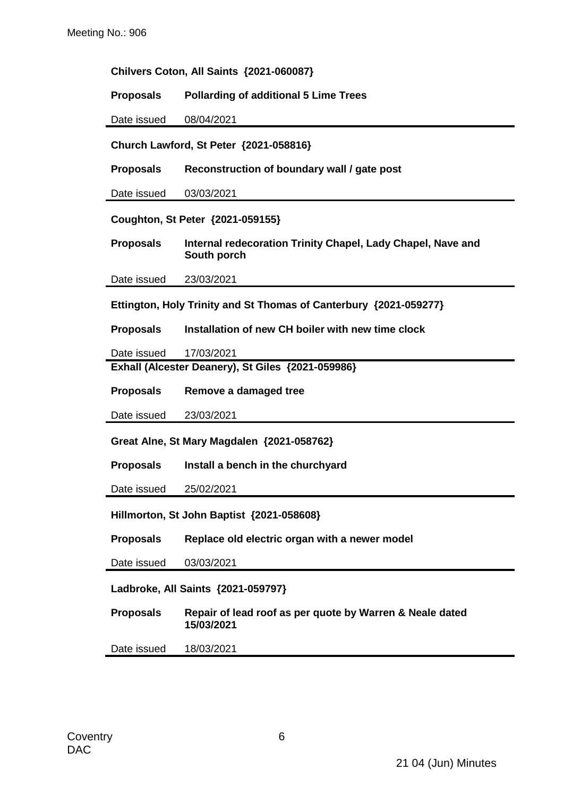| Chilvers Coton, All Saints {2021-060087}   |                                                                            |  |  |
|--------------------------------------------|----------------------------------------------------------------------------|--|--|
| <b>Proposals</b>                           | <b>Pollarding of additional 5 Lime Trees</b>                               |  |  |
| Date issued                                | 08/04/2021                                                                 |  |  |
|                                            | Church Lawford, St Peter {2021-058816}                                     |  |  |
| <b>Proposals</b>                           | Reconstruction of boundary wall / gate post                                |  |  |
| Date issued                                | 03/03/2021                                                                 |  |  |
|                                            | Coughton, St Peter {2021-059155}                                           |  |  |
| <b>Proposals</b>                           | Internal redecoration Trinity Chapel, Lady Chapel, Nave and<br>South porch |  |  |
| Date issued                                | 23/03/2021                                                                 |  |  |
|                                            | Ettington, Holy Trinity and St Thomas of Canterbury {2021-059277}          |  |  |
| <b>Proposals</b>                           | Installation of new CH boiler with new time clock                          |  |  |
| Date issued                                | 17/03/2021                                                                 |  |  |
|                                            | Exhall (Alcester Deanery), St Giles {2021-059986}                          |  |  |
| <b>Proposals</b>                           | Remove a damaged tree                                                      |  |  |
| Date issued                                | 23/03/2021                                                                 |  |  |
| Great Alne, St Mary Magdalen {2021-058762} |                                                                            |  |  |
| <b>Proposals</b>                           | Install a bench in the churchyard                                          |  |  |
| Date issued                                | 25/02/2021                                                                 |  |  |
| Hillmorton, St John Baptist {2021-058608}  |                                                                            |  |  |
| <b>Proposals</b>                           | Replace old electric organ with a newer model                              |  |  |
| Date issued                                | 03/03/2021                                                                 |  |  |
| Ladbroke, All Saints {2021-059797}         |                                                                            |  |  |
| <b>Proposals</b>                           | Repair of lead roof as per quote by Warren & Neale dated<br>15/03/2021     |  |  |

Date issued 18/03/2021